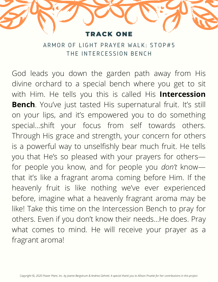## ACK ON

ARMOR OF LIGHT PRAYER WALK: STOP#5 THE INTERCESSION BENCH

God leads you down the garden path away from His divine orchard to a special bench where you get to sit with Him. He tells you this is called His **Intercession Bench**. You've just tasted His supernatural fruit. It's still on your lips, and it's empowered you to do something special…shift your focus from self towards others. Through His grace and strength, your concern for others is a powerful way to unselfishly bear much fruit. He tells you that He's so pleased with your prayers for others for people you know, and for people you *don't* know that it's like a fragrant aroma coming before Him. If the heavenly fruit is like nothing we've ever experienced before, imagine what a heavenly fragrant aroma may be like! Take this time on the Intercession Bench to pray for others. Even if you don't know their needs…He does. Pray what comes to mind. He will receive your prayer as a fragrant aroma!